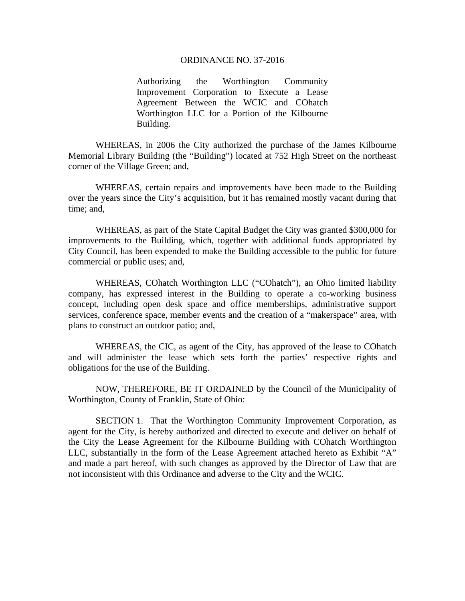## ORDINANCE NO. 37-2016

Authorizing the Worthington Community Improvement Corporation to Execute a Lease Agreement Between the WCIC and COhatch Worthington LLC for a Portion of the Kilbourne Building.

 WHEREAS, in 2006 the City authorized the purchase of the James Kilbourne Memorial Library Building (the "Building") located at 752 High Street on the northeast corner of the Village Green; and,

WHEREAS, certain repairs and improvements have been made to the Building over the years since the City's acquisition, but it has remained mostly vacant during that time; and,

WHEREAS, as part of the State Capital Budget the City was granted \$300,000 for improvements to the Building, which, together with additional funds appropriated by City Council, has been expended to make the Building accessible to the public for future commercial or public uses; and,

WHEREAS, COhatch Worthington LLC ("COhatch"), an Ohio limited liability company, has expressed interest in the Building to operate a co-working business concept, including open desk space and office memberships, administrative support services, conference space, member events and the creation of a "makerspace" area, with plans to construct an outdoor patio; and,

WHEREAS, the CIC, as agent of the City, has approved of the lease to COhatch and will administer the lease which sets forth the parties' respective rights and obligations for the use of the Building.

 NOW, THEREFORE, BE IT ORDAINED by the Council of the Municipality of Worthington, County of Franklin, State of Ohio:

SECTION 1. That the Worthington Community Improvement Corporation, as agent for the City, is hereby authorized and directed to execute and deliver on behalf of the City the Lease Agreement for the Kilbourne Building with COhatch Worthington LLC, substantially in the form of the Lease Agreement attached hereto as Exhibit "A" and made a part hereof, with such changes as approved by the Director of Law that are not inconsistent with this Ordinance and adverse to the City and the WCIC.